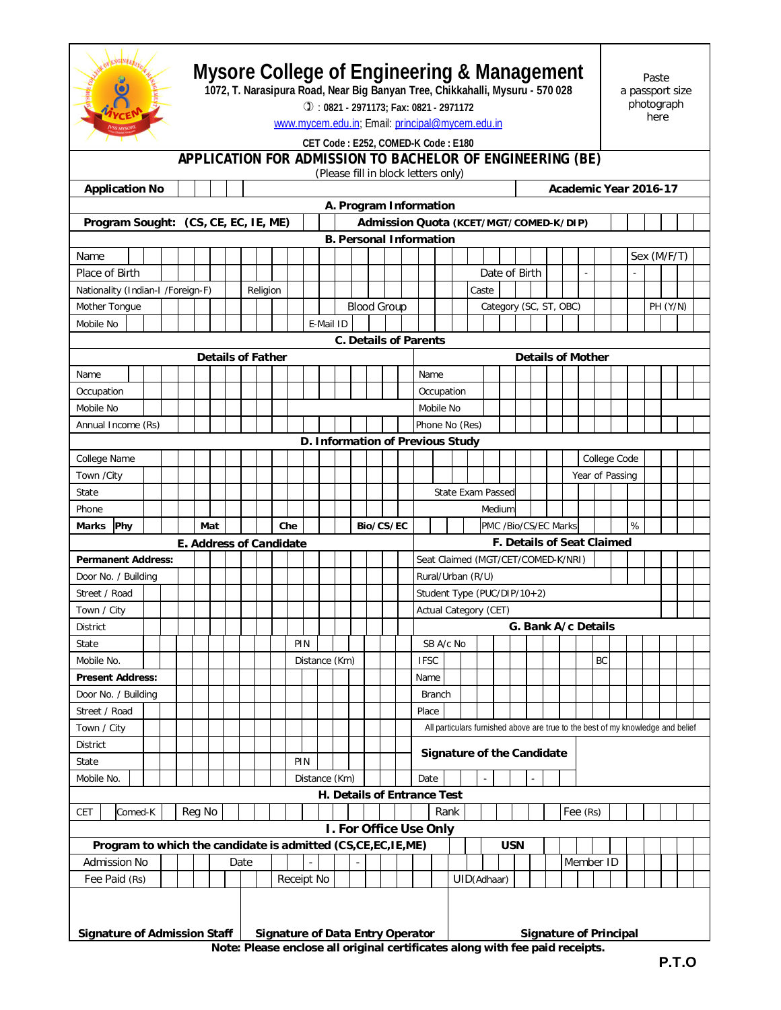

## **Mysore College of Engineering & Management**

**1072, T. Narasipura Road, Near Big Banyan Tree, Chikkahalli, Mysuru - 570 028**

 : **0821 - 2971173; Fax: 0821 - 2971172** www.mycem.edu.in; Email: principal@mycem.edu.in

Paste a passport size photograph here

## **CET Code : E252, COMED-K Code : E180**

## **APPLICATION FOR ADMISSION TO BACHELOR OF ENGINEERING (BE)**

|                                      |                                                                                |         |  |  |                         |        |     |  |      |     |     |     |  |                   |                    |  |           |               |                                    | (Please fill in block letters only)                                          |                             |                                        |                        |                                                                                 |            |  |                          |                                   |  |                 |  |              |  |                       |  |  |  |  |
|--------------------------------------|--------------------------------------------------------------------------------|---------|--|--|-------------------------|--------|-----|--|------|-----|-----|-----|--|-------------------|--------------------|--|-----------|---------------|------------------------------------|------------------------------------------------------------------------------|-----------------------------|----------------------------------------|------------------------|---------------------------------------------------------------------------------|------------|--|--------------------------|-----------------------------------|--|-----------------|--|--------------|--|-----------------------|--|--|--|--|
|                                      | <b>Application No</b>                                                          |         |  |  |                         |        |     |  |      |     |     |     |  |                   |                    |  |           |               |                                    |                                                                              |                             |                                        |                        |                                                                                 |            |  |                          |                                   |  |                 |  |              |  | Academic Year 2016-17 |  |  |  |  |
|                                      |                                                                                |         |  |  |                         |        |     |  |      |     |     |     |  |                   |                    |  |           |               |                                    | A. Program Information                                                       |                             |                                        |                        |                                                                                 |            |  |                          |                                   |  |                 |  |              |  |                       |  |  |  |  |
| Program Sought: (CS, CE, EC, IE, ME) |                                                                                |         |  |  |                         |        |     |  |      |     |     |     |  |                   |                    |  |           |               |                                    |                                                                              |                             | Admission Quota (KCET/MGT/COMED-K/DIP) |                        |                                                                                 |            |  |                          |                                   |  |                 |  |              |  |                       |  |  |  |  |
|                                      |                                                                                |         |  |  |                         |        |     |  |      |     |     |     |  |                   |                    |  |           |               |                                    | <b>B. Personal Information</b>                                               |                             |                                        |                        |                                                                                 |            |  |                          |                                   |  |                 |  |              |  |                       |  |  |  |  |
| Name                                 |                                                                                |         |  |  |                         |        |     |  |      |     |     |     |  |                   |                    |  |           |               |                                    |                                                                              |                             |                                        |                        |                                                                                 |            |  |                          |                                   |  |                 |  | Sex (M/F/T)  |  |                       |  |  |  |  |
| Place of Birth                       |                                                                                |         |  |  |                         |        |     |  |      |     |     |     |  |                   |                    |  |           |               |                                    |                                                                              |                             |                                        |                        | Date of Birth                                                                   |            |  |                          |                                   |  |                 |  |              |  |                       |  |  |  |  |
|                                      | Nationality (Indian-I /Foreign-F)<br>Religion                                  |         |  |  |                         |        |     |  |      |     |     |     |  |                   |                    |  |           | Caste         |                                    |                                                                              |                             |                                        |                        |                                                                                 |            |  |                          |                                   |  |                 |  |              |  |                       |  |  |  |  |
| Mother Tongue                        |                                                                                |         |  |  |                         |        |     |  |      |     |     |     |  |                   | <b>Blood Group</b> |  |           |               |                                    |                                                                              |                             |                                        | Category (SC, ST, OBC) |                                                                                 |            |  |                          |                                   |  |                 |  |              |  | PH (Y/N)              |  |  |  |  |
| Mobile No                            |                                                                                |         |  |  |                         |        |     |  |      |     |     |     |  | E-Mail ID         |                    |  |           |               |                                    |                                                                              |                             |                                        |                        |                                                                                 |            |  |                          |                                   |  |                 |  |              |  |                       |  |  |  |  |
|                                      |                                                                                |         |  |  |                         |        |     |  |      |     |     |     |  |                   |                    |  |           |               |                                    | <b>C. Details of Parents</b>                                                 |                             |                                        |                        |                                                                                 |            |  |                          |                                   |  |                 |  |              |  |                       |  |  |  |  |
| <b>Details of Father</b>             |                                                                                |         |  |  |                         |        |     |  |      |     |     |     |  |                   |                    |  |           |               |                                    |                                                                              |                             |                                        |                        |                                                                                 |            |  | <b>Details of Mother</b> |                                   |  |                 |  |              |  |                       |  |  |  |  |
| Name                                 |                                                                                |         |  |  |                         |        |     |  |      |     |     |     |  |                   | Name               |  |           |               |                                    |                                                                              |                             |                                        |                        |                                                                                 |            |  |                          |                                   |  |                 |  |              |  |                       |  |  |  |  |
|                                      | Occupation                                                                     |         |  |  |                         |        |     |  |      |     |     |     |  |                   |                    |  |           |               |                                    | Occupation                                                                   |                             |                                        |                        |                                                                                 |            |  |                          |                                   |  |                 |  |              |  |                       |  |  |  |  |
|                                      | Mobile No                                                                      |         |  |  |                         |        |     |  |      |     |     |     |  |                   |                    |  |           |               |                                    |                                                                              | Mobile No                   |                                        |                        |                                                                                 |            |  |                          |                                   |  |                 |  |              |  |                       |  |  |  |  |
| Annual Income (Rs)                   |                                                                                |         |  |  |                         |        |     |  |      |     |     |     |  |                   |                    |  |           |               |                                    |                                                                              |                             | Phone No (Res)                         |                        |                                                                                 |            |  |                          |                                   |  |                 |  |              |  |                       |  |  |  |  |
|                                      |                                                                                |         |  |  |                         |        |     |  |      |     |     |     |  |                   |                    |  |           |               |                                    | D. Information of Previous Study                                             |                             |                                        |                        |                                                                                 |            |  |                          |                                   |  |                 |  |              |  |                       |  |  |  |  |
|                                      | College Name                                                                   |         |  |  |                         |        |     |  |      |     |     |     |  |                   |                    |  |           |               |                                    |                                                                              |                             |                                        |                        |                                                                                 |            |  |                          |                                   |  |                 |  | College Code |  |                       |  |  |  |  |
| Town / City                          |                                                                                |         |  |  |                         |        |     |  |      |     |     |     |  |                   |                    |  |           |               |                                    |                                                                              |                             |                                        |                        |                                                                                 |            |  |                          |                                   |  | Year of Passing |  |              |  |                       |  |  |  |  |
| State                                |                                                                                |         |  |  |                         |        |     |  |      |     |     |     |  |                   |                    |  |           |               |                                    |                                                                              |                             |                                        |                        | State Exam Passed                                                               |            |  |                          |                                   |  |                 |  |              |  |                       |  |  |  |  |
| Phone                                |                                                                                |         |  |  |                         |        |     |  |      |     |     |     |  |                   |                    |  |           |               |                                    |                                                                              |                             |                                        |                        | Medium                                                                          |            |  |                          |                                   |  |                 |  |              |  |                       |  |  |  |  |
| Marks                                | Phy                                                                            |         |  |  |                         |        | Mat |  |      |     | Che |     |  |                   |                    |  | Bio/CS/EC |               |                                    |                                                                              |                             |                                        |                        | PMC /Bio/CS/EC Marks                                                            |            |  |                          |                                   |  |                 |  |              |  | %                     |  |  |  |  |
|                                      |                                                                                |         |  |  | E. Address of Candidate |        |     |  |      |     |     |     |  |                   |                    |  |           |               |                                    |                                                                              |                             |                                        |                        |                                                                                 |            |  |                          | <b>F. Details of Seat Claimed</b> |  |                 |  |              |  |                       |  |  |  |  |
| <b>Permanent Address:</b>            |                                                                                |         |  |  |                         |        |     |  |      |     |     |     |  |                   |                    |  |           |               | Seat Claimed (MGT/CET/COMED-K/NRI) |                                                                              |                             |                                        |                        |                                                                                 |            |  |                          |                                   |  |                 |  |              |  |                       |  |  |  |  |
| Door No. / Building<br>Street / Road |                                                                                |         |  |  |                         |        |     |  |      |     |     |     |  | Rural/Urban (R/U) |                    |  |           |               |                                    |                                                                              |                             |                                        |                        |                                                                                 |            |  |                          |                                   |  |                 |  |              |  |                       |  |  |  |  |
| Town / City                          |                                                                                |         |  |  |                         |        |     |  |      |     |     |     |  |                   |                    |  |           |               |                                    |                                                                              | Student Type (PUC/DIP/10+2) |                                        |                        |                                                                                 |            |  |                          |                                   |  |                 |  |              |  |                       |  |  |  |  |
| <b>District</b>                      |                                                                                |         |  |  |                         |        |     |  |      |     |     |     |  |                   |                    |  |           |               |                                    | Actual Category (CET)<br>G. Bank A/c Details                                 |                             |                                        |                        |                                                                                 |            |  |                          |                                   |  |                 |  |              |  |                       |  |  |  |  |
| State                                |                                                                                |         |  |  |                         |        |     |  |      | PIN |     |     |  |                   |                    |  |           |               | SB A/c No                          |                                                                              |                             |                                        |                        |                                                                                 |            |  |                          |                                   |  |                 |  |              |  |                       |  |  |  |  |
| Mobile No.                           |                                                                                |         |  |  |                         |        |     |  |      |     |     |     |  |                   | Distance (Km)      |  |           |               |                                    | <b>IFSC</b>                                                                  |                             |                                        |                        |                                                                                 |            |  |                          |                                   |  |                 |  | BC           |  |                       |  |  |  |  |
|                                      | <b>Present Address:</b>                                                        |         |  |  |                         |        |     |  |      |     |     |     |  |                   |                    |  |           |               |                                    | Name                                                                         |                             |                                        |                        |                                                                                 |            |  |                          |                                   |  |                 |  |              |  |                       |  |  |  |  |
| Door No. / Building                  |                                                                                |         |  |  |                         |        |     |  |      |     |     |     |  |                   |                    |  |           | <b>Branch</b> |                                    |                                                                              |                             |                                        |                        |                                                                                 |            |  |                          |                                   |  |                 |  |              |  |                       |  |  |  |  |
| Street / Road                        |                                                                                |         |  |  |                         |        |     |  |      |     |     |     |  |                   |                    |  |           |               |                                    | Place                                                                        |                             |                                        |                        |                                                                                 |            |  |                          |                                   |  |                 |  |              |  |                       |  |  |  |  |
| Town / City                          |                                                                                |         |  |  |                         |        |     |  |      |     |     |     |  |                   |                    |  |           |               |                                    |                                                                              |                             |                                        |                        | All particulars furnished above are true to the best of my knowledge and belief |            |  |                          |                                   |  |                 |  |              |  |                       |  |  |  |  |
| District                             |                                                                                |         |  |  |                         |        |     |  |      |     |     |     |  |                   |                    |  |           |               |                                    | Signature of the Candidate                                                   |                             |                                        |                        |                                                                                 |            |  |                          |                                   |  |                 |  |              |  |                       |  |  |  |  |
| State                                |                                                                                |         |  |  |                         |        |     |  |      |     |     | PIN |  |                   |                    |  |           |               |                                    |                                                                              |                             |                                        |                        |                                                                                 |            |  |                          |                                   |  |                 |  |              |  |                       |  |  |  |  |
| Mobile No.                           |                                                                                |         |  |  |                         |        |     |  |      |     |     |     |  |                   | Distance (Km)      |  |           |               |                                    | Date                                                                         |                             |                                        |                        |                                                                                 |            |  |                          |                                   |  |                 |  |              |  |                       |  |  |  |  |
|                                      |                                                                                |         |  |  |                         |        |     |  |      |     |     |     |  |                   |                    |  |           |               |                                    | H. Details of Entrance Test                                                  |                             |                                        |                        |                                                                                 |            |  |                          |                                   |  |                 |  |              |  |                       |  |  |  |  |
| <b>CET</b>                           |                                                                                | Comed-K |  |  |                         | Reg No |     |  |      |     |     |     |  |                   |                    |  |           |               |                                    |                                                                              |                             | Rank                                   |                        |                                                                                 |            |  |                          |                                   |  | Fee (Rs)        |  |              |  |                       |  |  |  |  |
|                                      |                                                                                |         |  |  |                         |        |     |  |      |     |     |     |  |                   |                    |  |           |               |                                    | I. For Office Use Only                                                       |                             |                                        |                        |                                                                                 |            |  |                          |                                   |  |                 |  |              |  |                       |  |  |  |  |
|                                      | Program to which the candidate is admitted (CS,CE,EC, IE, ME)                  |         |  |  |                         |        |     |  |      |     |     |     |  |                   |                    |  |           |               |                                    |                                                                              |                             |                                        |                        |                                                                                 | <b>USN</b> |  |                          |                                   |  |                 |  |              |  |                       |  |  |  |  |
|                                      | Admission No                                                                   |         |  |  |                         |        |     |  | Date |     |     |     |  |                   |                    |  |           |               |                                    |                                                                              |                             |                                        |                        |                                                                                 |            |  |                          |                                   |  | Member ID       |  |              |  |                       |  |  |  |  |
|                                      | Fee Paid (Rs)<br>Receipt No                                                    |         |  |  |                         |        |     |  |      |     |     |     |  |                   | UID(Adhaar)        |  |           |               |                                    |                                                                              |                             |                                        |                        |                                                                                 |            |  |                          |                                   |  |                 |  |              |  |                       |  |  |  |  |
|                                      |                                                                                |         |  |  |                         |        |     |  |      |     |     |     |  |                   |                    |  |           |               |                                    |                                                                              |                             |                                        |                        |                                                                                 |            |  |                          |                                   |  |                 |  |              |  |                       |  |  |  |  |
|                                      |                                                                                |         |  |  |                         |        |     |  |      |     |     |     |  |                   |                    |  |           |               |                                    |                                                                              |                             |                                        |                        |                                                                                 |            |  |                          |                                   |  |                 |  |              |  |                       |  |  |  |  |
|                                      | <b>Signature of Admission Staff</b><br><b>Signature of Data Entry Operator</b> |         |  |  |                         |        |     |  |      |     |     |     |  |                   |                    |  |           |               | <b>Signature of Principal</b>      |                                                                              |                             |                                        |                        |                                                                                 |            |  |                          |                                   |  |                 |  |              |  |                       |  |  |  |  |
|                                      |                                                                                |         |  |  |                         |        |     |  |      |     |     |     |  |                   |                    |  |           |               |                                    | Note: Please enclose all original certificates along with fee paid receipts. |                             |                                        |                        |                                                                                 |            |  |                          |                                   |  |                 |  |              |  |                       |  |  |  |  |